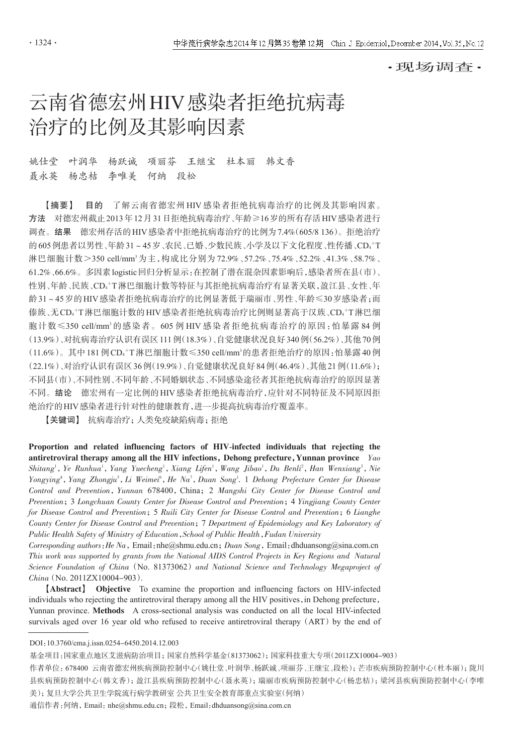·现场调查·

# 云南省德宏州HIV感染者拒绝抗病毒 治疗的比例及其影响因素

## 姚仕堂 叶润华 杨跃诚 项丽芬 王继宝 杜本丽 韩文香 聂永英 杨忠桔 李唯美 何纳 段松

【摘要】 目的 了解云南省德宏州 HIV 感染者拒绝抗病毒治疗的比例及其影响因素。 方法 对德宏州截止2013年12月31日拒绝抗病毒治疗、年龄≥16岁的所有存活HIV感染者进行 调查。结果 德宏州存活的HIV感染者中拒绝抗病毒治疗的比例为7.4%(605/8 136)。拒绝治疗 的605例患者以男性、年龄31~45岁、农民、已婚、少数民族、小学及以下文化程度、性传播、CD4<sup>+</sup>T 淋巴细胞计数>350 cell/mm3为主,构成比分别为72.9%、57.2%、75.4%、52.2%、41.3%、58.7%、 61.2%、66.6%。多因素logistic回归分析显示:在控制了潜在混杂因素影响后,感染者所在县(市)、 性别、年龄、民族、CD4'T淋巴细胞计数等特征与其拒绝抗病毒治疗有显著关联,盈江县、女性、年 龄31~45岁的HIV感染者拒绝抗病毒治疗的比例显著低于瑞丽市、男性、年龄≤30岁感染者;而 傣族﹑无CD4†T淋巴细胞计数的HIV感染者拒绝抗病毒治疗比例则显著高于汉族﹑CD4†T淋巴细 胞计数≤350 cell/mm3 的感染者。605 例 HIV 感染者拒绝抗病毒治疗的原因:怕暴露 84 例 (13.9%)、对抗病毒治疗认识有误区111例(18.3%)、自觉健康状况良好340例(56.2%)、其他70例  $(11.6\%)$ 。其中 181 例CD4<sup>+</sup>T淋巴细胞计数≤350 cell/mm<sup>3</sup>的患者拒绝治疗的原因:怕暴露40例 (22.1%)、对治疗认识有误区36例(19.9%)、自觉健康状况良好84例(46.4%)、其他21例(11.6%); 不同县(市)、不同性别、不同年龄、不同婚姻状态、不同感染途径者其拒绝抗病毒治疗的原因显著 不同。结论 德宏州有一定比例的HIV感染者拒绝抗病毒治疗,应针对不同特征及不同原因拒 绝治疗的HIV感染者进行针对性的健康教育,进一步提高抗病毒治疗覆盖率。

【关键词】 抗病毒治疗;人类免疫缺陷病毒;拒绝

Proportion and related influencing factors of HIV-infected individuals that rejecting the antiretroviral therapy among all the HIV infections, Dehong prefecture, Yunnan province  $Y_{a}$ Shitang<sup>1</sup>, Ye Runhua<sup>1</sup>, Yang Yuecheng<sup>1</sup>, Xiang Lifen<sup>1</sup>, Wang Jibao<sup>1</sup>, Du Benli<sup>2</sup>, Han Wenxiang<sup>3</sup>, Nie Yongying<sup>4</sup>, Yang Zhongju<sup>5</sup>, Li Weimei<sup>6</sup>, He Na<sup>7</sup>, Duan Song<sup>1</sup>. 1 Dehong Prefecture Center for Disease Control and Prevention, Yunnan 678400, China; 2 Mangshi City Center for Disease Control and Prevention; 3 Longchuan County Center for Disease Control and Prevention; 4 Yingjiang County Center for Disease Control and Prevention; 5 Ruili City Center for Disease Control and Prevention; 6 Lianghe County Center for Disease Control and Prevention;7 Department of Epidemiology and Key Laboratory of Public Health Safety of Ministry of Education, School of Public Health, Fudan University

Corresponding authors: He Na, Email:nhe@shmu.edu.cn; Duan Song, Email:dhduansong@sina.com.cn This work was supported by grants from the National AIDS Control Projects in Key Regions and Natural Science Foundation of China (No. 81373062) and National Science and Technology Megaproject of China (No. 2011ZX10004-903).

【Abstract】 Objective To examine the proportion and influencing factors on HIV-infected individuals who rejecting the antiretroviral therapy among all the HIV positives, in Dehong prefecture, Yunnan province. Methods A cross-sectional analysis was conducted on all the local HIV-infected survivals aged over 16 year old who refused to receive antiretroviral therapy (ART) by the end of

基金项目:国家重点地区艾滋病防治项目;国家自然科学基金(81373062);国家科技重大专项(2011ZX10004-903) 作者单位: 678400 云南省德宏州疾病预防控制中心(姚仕堂、叶润华、杨跃诚、项丽芬、王继宝、段松);芒市疾病预防控制中心(杜本丽);陇川 县疾病预防控制中心(韩文香);盈江县疾病预防控制中心(聂永英);瑞丽市疾病预防控制中心(杨忠桔);梁河县疾病预防控制中心(李唯 美);复旦大学公共卫生学院流行病学教研室 公共卫生安全教育部重点实验室(何纳)

通信作者: 何纳, Email: nhe@shmu.edu.cn; 段松, Email: dhduansong@sina.com.cn

DOI:10.3760/cma.j.issn.0254-6450.2014.12.003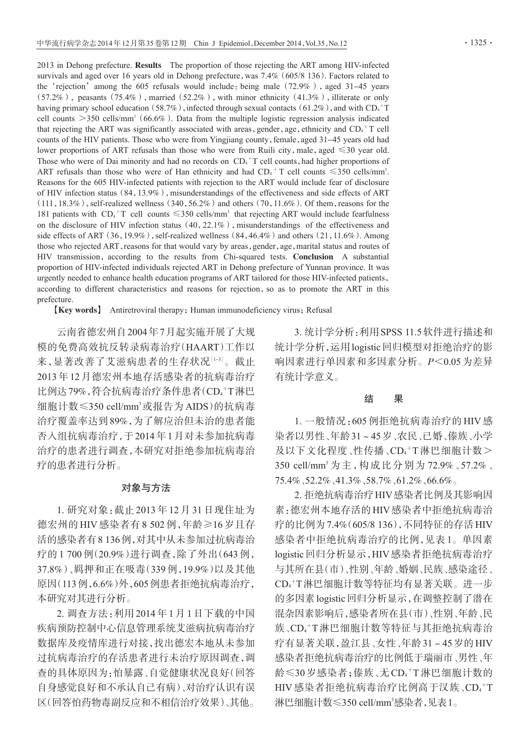2013 in Dehong prefecture. **Results** The proportion of those rejecting the ART among HIV-infected survivals and aged over 16 years old in Dehong prefecture, was 7.4% (605/8 136). Factors related to the 'rejection' among the  $605$  refusals would include: being male  $(72.9\%)$ , aged  $31-45$  years  $(57.2\%)$ , peasants  $(75.4\%)$ , married  $(52.2\%)$ , with minor ethnicity  $(41.3\%)$ , illiterate or only having primary school education (58.7%), infected through sexual contacts (61.2%), and with  $CD_*^+T$ cell counts  $>$ 350 cells/mm<sup>3</sup> (66.6%). Data from the multiple logistic regression analysis indicated that rejecting the ART was significantly associated with areas, gender, age, ethnicity and  $CD_4^+T$  cell counts of the HIV patients. Those who were from Yingjiang county, female, aged 31-45 years old had lower proportions of ART refusals than those who were from Ruili city, male, aged  $\leq 30$  year old. Those who were of Dai minority and had no records on  $CD_+^+T$  cell counts, had higher proportions of ART refusals than those who were of Han ethnicity and had  $CD_4$ <sup>+</sup> T cell counts  $\leq 350$  cells/mm<sup>3</sup>. Reasons for the 605 HIV-infected patients with rejection to the ART would include fear of disclosure of HIV infection status (84, 13.9%), misunderstandings of the effectiveness and side effects of ART  $(111,18.3\%)$ , self-realized wellness  $(340,56.2\%)$  and others  $(70,11.6\%)$ . Of them, reasons for the 181 patients with  $CD_4$ <sup>+</sup>T cell counts  $\leq$ 350 cells/mm<sup>3</sup> that rejecting ART would include fearfulness on the disclosure of HIV infection status  $(40, 22.1\%)$  , misunderstandings of the effectiveness and side effects of ART  $(36,19.9\%)$ , self-realized wellness  $(84,46.4\%)$  and others  $(21,11.6\%)$ . Among those who rejected ART, reasons for that would vary by areas, gender, age, marital status and routes of HIV transmission,according to the results from Chi-squared tests. Conclusion A substantial proportion of HIV-infected individuals rejected ART in Dehong prefecture of Yunnan province. It was urgently needed to enhance health education programs of ART tailored for those HIV-infected patients, according to different characteristics and reasons for rejection, so as to promote the ART in this prefecture.

【Key words】 Antiretroviral therapy; Human immunodeficiency virus; Refusal

云南省德宏州自2004年7月起实施开展了大规 模的免费高效抗反转录病毒治疗(HAART)工作以 来,显著改善了艾滋病患者的生存状况[1-3]。截止 2013年12月德宏州本地存活感染者的抗病毒治疗 比例达 79%,符合抗病毒治疗条件患者(CD<sub>4</sub>+T淋巴 细胞计数≤350 cell/mm3 或报告为 AIDS)的抗病毒 治疗覆盖率达到89%,为了解应治但未治的患者能 否入组抗病毒治疗,于2014年1月对未参加抗病毒 治疗的患者进行调查,本研究对拒绝参加抗病毒治 疗的患者进行分析。

### 对象与方法

1. 研究对象:截止 2013 年 12 月 31 日现住址为 德宏州的 HIV 感染者有 8 502 例,年龄≥16 岁且存 活的感染者有8 136例,对其中从未参加过抗病毒治 疗的 1 700 例(20.9%)进行调查,除了外出(643 例, 37.8%)、羁押和正在吸毒(339 例,19.9%)以及其他 原因(113例,6.6%)外,605例患者拒绝抗病毒治疗, 本研究对其进行分析。

2. 调查方法:利用 2014 年 1 月 1 日下载的中国 疾病预防控制中心信息管理系统艾滋病抗病毒治疗 数据库及疫情库进行对接,找出德宏本地从未参加 过抗病毒治疗的存活患者进行未治疗原因调查,调 查的具体原因为:怕暴露、自觉健康状况良好(回答 自身感觉良好和不承认自己有病)、对治疗认识有误 区(回答怕药物毒副反应和不相信治疗效果)、其他。

3. 统计学分析:利用SPSS 11.5软件进行描述和 统计学分析,运用logistic回归模型对拒绝治疗的影 响因素进行单因素和多因素分析。P<0.05为差异 有统计学意义。

#### 结 果

1. 一般情况:605 例拒绝抗病毒治疗的 HIV 感 染者以男性、年龄31~45岁、农民、已婚、傣族、小学 及以下文化程度、性传播、CD4+T淋巴细胞计数> 350 cell/mm3 为主,构成比分别为 72.9%、57.2%、 75.4%、52.2%、41.3%、58.7%、61.2%、66.6%。

2. 拒绝抗病毒治疗HIV感染者比例及其影响因 素:德宏州本地存活的HIV感染者中拒绝抗病毒治 疗的比例为7.4%(605/8 136),不同特征的存活HIV 感染者中拒绝抗病毒治疗的比例,见表 1。单因素 logistic回归分析显示,HIV感染者拒绝抗病毒治疗 与其所在县(市)、性别、年龄、婚姻、民族、感染途径、 CD4 <sup>+</sup>T淋巴细胞计数等特征均有显著关联。进一步 的多因素logistic回归分析显示,在调整控制了潜在 混杂因素影响后,感染者所在县(市)、性别、年龄、民 族、CD4+T淋巴细胞计数等特征与其拒绝抗病毒治 疗有显著关联,盈江县、女性、年龄31~45岁的HIV 感染者拒绝抗病毒治疗的比例低于瑞丽市、男性、年 龄≤30岁感染者;傣族、无CD4+T淋巴细胞计数的 HIV 感染者拒绝抗病毒治疗比例高于汉族、CD4 <sup>+</sup>T 淋巴细胞计数≤350 cell/mm<sup>3</sup>感染者,见表1。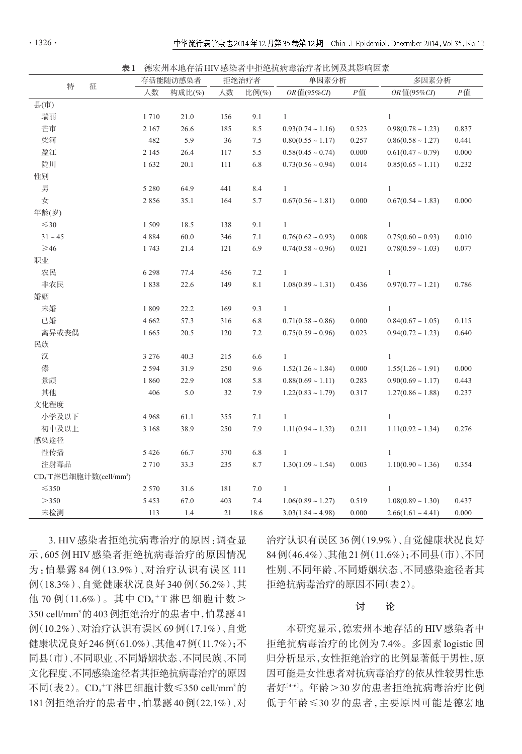表1 德宏州本地存活HIV感染者中拒绝抗病毒治疗者比例及其影响因素

|                                                 | 存活能随访感染者 |                       | 拒绝治疗者 |            | 单因素分析                  |            | 多因素分析                  |       |  |
|-------------------------------------------------|----------|-----------------------|-------|------------|------------------------|------------|------------------------|-------|--|
| 特<br>征                                          | 人数       | 构成比(%)<br>人数<br>比例(%) |       | OR值(95%CI) | $P$ 值                  | OR值(95%CI) | $P$ 值                  |       |  |
| 县(市)                                            |          |                       |       |            |                        |            |                        |       |  |
| 瑞丽                                              | 1710     | 21.0                  | 156   | 9.1        | $\mathbf{1}$           |            | $\mathbf{1}$           |       |  |
| 芒市                                              | 2 1 6 7  | 26.6                  | 185   | 8.5        | $0.93(0.74 \sim 1.16)$ | 0.523      | $0.98(0.78 \sim 1.23)$ | 0.837 |  |
| 梁河                                              | 482      | 5.9                   | 36    | 7.5        | $0.80(0.55 \sim 1.17)$ | 0.257      | $0.86(0.58 \sim 1.27)$ | 0.441 |  |
| 盈江                                              | 2 1 4 5  | 26.4                  | 117   | 5.5        | $0.58(0.45 \sim 0.74)$ | 0.000      | $0.61(0.47 \sim 0.79)$ | 0.000 |  |
| 陇川                                              | 1632     | 20.1                  | 111   | 6.8        | $0.73(0.56 \sim 0.94)$ | 0.014      | $0.85(0.65 \sim 1.11)$ | 0.232 |  |
| 性别                                              |          |                       |       |            |                        |            |                        |       |  |
| 男                                               | 5 2 8 0  | 64.9                  | 441   | 8.4        | $\mathbf{1}$           |            | $\mathbf{1}$           |       |  |
| 女                                               | 2856     | 35.1                  | 164   | 5.7        | $0.67(0.56 \sim 1.81)$ | 0.000      | $0.67(0.54 \sim 1.83)$ | 0.000 |  |
| 年龄(岁)                                           |          |                       |       |            |                        |            |                        |       |  |
| $\leq$ 30                                       | 1509     | 18.5                  | 138   | 9.1        | $\mathbf{1}$           |            | $\mathbf{1}$           |       |  |
| $31\sim45$                                      | 4 8 8 4  | $60.0\,$              | 346   | $7.1\,$    | $0.76(0.62 \sim 0.93)$ | 0.008      | $0.75(0.60 \sim 0.93)$ | 0.010 |  |
| $\geqslant$ 46                                  | 1743     | 21.4                  | 121   | 6.9        | $0.74(0.58 \sim 0.96)$ | 0.021      | $0.78(0.59 \sim 1.03)$ | 0.077 |  |
| 职业                                              |          |                       |       |            |                        |            |                        |       |  |
| 农民                                              | 6 2 9 8  | 77.4                  | 456   | 7.2        | $\mathbf{1}$           |            | 1                      |       |  |
| 非农民                                             | 1838     | 22.6                  | 149   | $8.1\,$    | $1.08(0.89 \sim 1.31)$ | 0.436      | $0.97(0.77 \sim 1.21)$ | 0.786 |  |
| 婚姻                                              |          |                       |       |            |                        |            |                        |       |  |
| 未婚                                              | 1809     | 22.2                  | 169   | 9.3        | $\mathbf{1}$           |            | $\mathbf{1}$           |       |  |
| 已婚                                              | 4 6 6 2  | 57.3                  | 316   | $6.8\,$    | $0.71(0.58 \sim 0.86)$ | 0.000      | $0.84(0.67 \sim 1.05)$ | 0.115 |  |
| 离异或丧偶                                           | 1665     | 20.5                  | 120   | 7.2        | $0.75(0.59 \sim 0.96)$ | 0.023      | $0.94(0.72 \sim 1.23)$ | 0.640 |  |
| 民族                                              |          |                       |       |            |                        |            |                        |       |  |
| 汉                                               | 3 2 7 6  | 40.3                  | 215   | 6.6        | $\mathbf{1}$           |            | $\mathbf{1}$           |       |  |
| 傣                                               | 2 5 9 4  | 31.9                  | 250   | 9.6        | $1.52(1.26 \sim 1.84)$ | 0.000      | $1.55(1.26 \sim 1.91)$ | 0.000 |  |
| 景颇                                              | 1860     | 22.9                  | 108   | 5.8        | $0.88(0.69 \sim 1.11)$ | 0.283      | $0.90(0.69 \sim 1.17)$ | 0.443 |  |
| 其他                                              | 406      | 5.0                   | 32    | 7.9        | $1.22(0.83 \sim 1.79)$ | 0.317      | $1.27(0.86 \sim 1.88)$ | 0.237 |  |
| 文化程度                                            |          |                       |       |            |                        |            |                        |       |  |
| 小学及以下                                           | 4 9 6 8  | 61.1                  | 355   | $7.1\,$    | $\mathbf{1}$           |            | $\mathbf{1}$           |       |  |
| 初中及以上                                           | 3 1 6 8  | 38.9                  | 250   | 7.9        | $1.11(0.94 \sim 1.32)$ | 0.211      | $1.11(0.92 \sim 1.34)$ | 0.276 |  |
| 感染途径                                            |          |                       |       |            |                        |            |                        |       |  |
| 性传播                                             | 5 4 2 6  | 66.7                  | 370   | 6.8        | $\mathbf{1}$           |            | $\mathbf{1}$           |       |  |
| 注射毒品                                            | 2710     | 33.3                  | 235   | 8.7        | $1.30(1.09 \sim 1.54)$ | 0.003      | $1.10(0.90 \sim 1.36)$ | 0.354 |  |
| CD <sub>4</sub> +T淋巴细胞计数(cell/mm <sup>3</sup> ) |          |                       |       |            |                        |            |                        |       |  |
| $\leq$ 350                                      | 2 5 7 0  | 31.6                  | 181   | $7.0\,$    | $\mathbf{1}$           |            | $\mathbf{1}$           |       |  |
| >350                                            | 5 4 5 3  | 67.0                  | 403   | 7.4        | $1.06(0.89 \sim 1.27)$ | 0.519      | $1.08(0.89 \sim 1.30)$ | 0.437 |  |
| 未检测                                             | 113      | 1.4                   | 21    | 18.6       | $3.03(1.84 - 4.98)$    | 0.000      | $2.66(1.61 \sim 4.41)$ | 0.000 |  |

3. HIV感染者拒绝抗病毒治疗的原因:调查显 示,605 例 HIV 感染者拒绝抗病毒治疗的原因情况 为:怕暴露 84 例(13.9%)、对治疗认识有误区 111 例(18.3%)、自觉健康状况良好 340 例(56.2%)、其 他 70 例 (11.6%)。其中 CD4+T 淋巴细胞计数> 350 cell/mm<sup>3</sup>的403 例拒绝治疗的患者中,怕暴露41 例(10.2%)、对治疗认识有误区69例(17.1%)、自觉 健康状况良好246例(61.0%)、其他47例(11.7%);不 同县(市)、不同职业、不同婚姻状态、不同民族、不同 文化程度、不同感染途径者其拒绝抗病毒治疗的原因 不同(表2)。CD4<sup>+</sup>T淋巴细胞计数≤350 cell/mm<sup>3</sup>的 181例拒绝治疗的患者中,怕暴露40例(22.1%)、对

治疗认识有误区36例(19.9%)、自觉健康状况良好 84例(46.4%)、其他21例(11.6%);不同县(市)、不同 性别、不同年龄、不同婚姻状态、不同感染途径者其 拒绝抗病毒治疗的原因不同(表2)。

#### 讨 论

本研究显示,德宏州本地存活的HIV感染者中 拒绝抗病毒治疗的比例为7.4%。多因素logistic回 归分析显示,女性拒绝治疗的比例显著低于男性,原 因可能是女性患者对抗病毒治疗的依从性较男性患 者好[<sup>4</sup>-6] 。年龄>30岁的患者拒绝抗病毒治疗比例 低于年龄≤30 岁的患者,主要原因可能是德宏地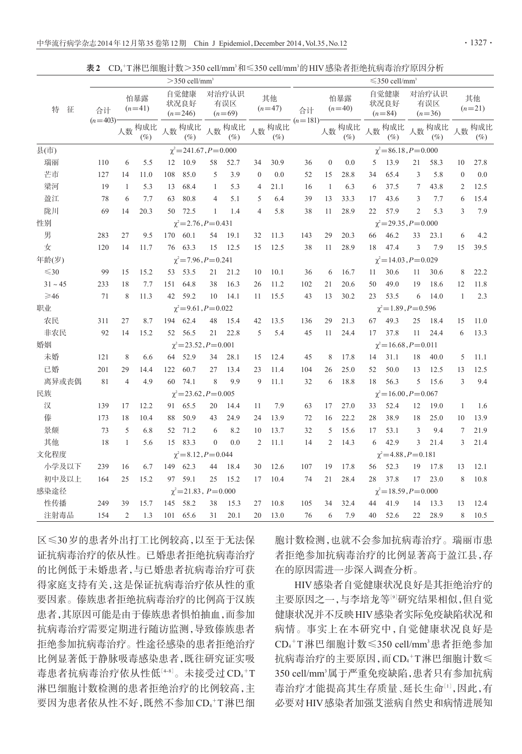|  |  |  |  | 表2 CD4+T淋巴细胞计数>350 cell/mm <sup>3</sup> 和≤350 cell/mm <sup>3</sup> 的 HIV 感染者拒绝抗病毒治疗原因分析 |  |
|--|--|--|--|-----------------------------------------------------------------------------------------|--|
|--|--|--|--|-----------------------------------------------------------------------------------------|--|

|                | $>$ 350 cell/mm <sup>3</sup>                                 |                 |                 |                           |                              |                          |               |                |                 | $\leq$ 350 cell/mm <sup>3</sup> |                 |                 |                          |                                |                          |                 |                |                  |
|----------------|--------------------------------------------------------------|-----------------|-----------------|---------------------------|------------------------------|--------------------------|---------------|----------------|-----------------|---------------------------------|-----------------|-----------------|--------------------------|--------------------------------|--------------------------|-----------------|----------------|------------------|
| 特<br>征         | 合计                                                           | 怕暴露<br>$(n=41)$ |                 | 自觉健康<br>状况良好<br>$(n=246)$ |                              | 对治疗认识<br>有误区<br>$(n=69)$ |               | 其他<br>$(n=47)$ |                 | 合计                              | 怕暴露<br>$(n=40)$ |                 | 自觉健康<br>状况良好<br>$(n=84)$ |                                | 对治疗认识<br>有误区<br>$(n=36)$ |                 | 其他<br>$(n=21)$ |                  |
|                | $(n=403)$                                                    |                 | 人数构成比<br>$(\%)$ |                           | 人数构成比<br>$(\%)$              | 人数                       | 构成比<br>$(\%)$ |                | 人数构成比<br>$(\%)$ | $(n=181)$                       |                 | 人数构成比<br>$(\%)$ |                          | 人数构成比<br>$(\%)$                |                          | 人数构成比<br>$(\%)$ |                | 人数 构成比<br>$(\%)$ |
| 县(市)           |                                                              |                 |                 |                           | $\chi^2$ = 241.67, P = 0.000 |                          |               |                |                 |                                 |                 |                 |                          | $\chi^2 = 86.18$ , $P = 0.000$ |                          |                 |                |                  |
| 瑞丽             | 110                                                          | 6               | 5.5             | 12                        | 10.9                         | 58                       | 52.7          | 34             | 30.9            | 36                              | $\theta$        | 0.0             | 5                        | 13.9                           | 21                       | 58.3            | 10             | 27.8             |
| 芒市             | 127                                                          | 14              | 11.0            | 108                       | 85.0                         | 5                        | 3.9           | $\mathbf{0}$   | 0.0             | 52                              | 15              | 28.8            | 34                       | 65.4                           | 3                        | 5.8             | $\mathbf{0}$   | 0.0              |
| 梁河             | 19                                                           | 1               | 5.3             | 13                        | 68.4                         | 1                        | 5.3           | 4              | 21.1            | 16                              | $\mathbf{1}$    | 6.3             | 6                        | 37.5                           | 7                        | 43.8            | 2              | 12.5             |
| 盈江             | 78                                                           | 6               | 7.7             | 63                        | 80.8                         | 4                        | 5.1           | 5              | 6.4             | 39                              | 13              | 33.3            | 17                       | 43.6                           | 3                        | 7.7             | 6              | 15.4             |
| 陇川             | 69                                                           | 14              | 20.3            | 50                        | 72.5                         | 1                        | 1.4           | 4              | 5.8             | 38                              | 11              | 28.9            | 22                       | 57.9                           | $\overline{2}$           | 5.3             | 3              | 7.9              |
| 性别             | $\chi^2$ = 2.76, P = 0.431<br>$\chi^2 = 29.35, P = 0.000$    |                 |                 |                           |                              |                          |               |                |                 |                                 |                 |                 |                          |                                |                          |                 |                |                  |
| 男              | 283                                                          | 27              | 9.5             | 170                       | 60.1                         | 54                       | 19.1          | 32             | 11.3            | 143                             | 29              | 20.3            | 66                       | 46.2                           | 33                       | 23.1            | 6              | 4.2              |
| 女              | 120                                                          | 14              | 11.7            | 76                        | 63.3                         | 15                       | 12.5          | 15             | 12.5            | 38                              | 11              | 28.9            | 18                       | 47.4                           | 3                        | 7.9             | 15             | 39.5             |
| 年龄(岁)          | $\chi^2 = 7.96, P = 0.241$<br>$\chi^2$ = 14.03, P = 0.029    |                 |                 |                           |                              |                          |               |                |                 |                                 |                 |                 |                          |                                |                          |                 |                |                  |
| $\leq$ 30      | 99                                                           | 15              | 15.2            | 53                        | 53.5                         | 21                       | 21.2          | 10             | 10.1            | 36                              | 6               | 16.7            | 11                       | 30.6                           | 11                       | 30.6            | 8              | 22.2             |
| $31 - 45$      | 233                                                          | 18              | 7.7             | 151                       | 64.8                         | 38                       | 16.3          | 26             | 11.2            | 102                             | 21              | 20.6            | 50                       | 49.0                           | 19                       | 18.6            | 12             | 11.8             |
| $\geqslant$ 46 | 71                                                           | 8               | 11.3            | 42                        | 59.2                         | 10                       | 14.1          | 11             | 15.5            | 43                              | 13              | 30.2            | 23                       | 53.5                           | 6                        | 14.0            | $\mathbf{1}$   | 2.3              |
| 职业             |                                                              |                 |                 |                           | $\chi^2 = 9.61, P = 0.022$   |                          |               |                |                 |                                 |                 |                 |                          | $\chi^2 = 1.89, P = 0.596$     |                          |                 |                |                  |
| 农民             | 311                                                          | 27              | 8.7             | 194                       | 62.4                         | 48                       | 15.4          | 42             | 13.5            | 136                             | 29              | 21.3            | 67                       | 49.3                           | 25                       | 18.4            | 15             | 11.0             |
| 非农民            | 92                                                           | 14              | 15.2            | 52                        | 56.5                         | 21                       | 22.8          | 5              | 5.4             | 45                              | 11              | 24.4            | 17                       | 37.8                           | 11                       | 24.4            | 6              | 13.3             |
| 婚姻             |                                                              |                 |                 |                           | $\chi^2$ = 23.52, P = 0.001  |                          |               |                |                 |                                 |                 |                 |                          | $\chi^2$ = 16.68, P = 0.011    |                          |                 |                |                  |
| 未婚             | 121                                                          | 8               | 6.6             | 64                        | 52.9                         | 34                       | 28.1          | 15             | 12.4            | 45                              | 8               | 17.8            | 14                       | 31.1                           | 18                       | 40.0            | 5              | 11.1             |
| 已婚             | 201                                                          | 29              | 14.4            | 122                       | 60.7                         | 27                       | 13.4          | 23             | 11.4            | 104                             | 26              | 25.0            | 52                       | 50.0                           | 13                       | 12.5            | 13             | 12.5             |
| 离异或丧偶          | 81                                                           | $\overline{4}$  | 4.9             | 60                        | 74.1                         | 8                        | 9.9           | 9              | 11.1            | 32                              | 6               | 18.8            | 18                       | 56.3                           | 5                        | 15.6            | 3              | 9.4              |
| 民族             | $\chi^2 = 23.62, P = 0.005$                                  |                 |                 |                           |                              |                          |               |                |                 | $\chi^2 = 16.00, P = 0.067$     |                 |                 |                          |                                |                          |                 |                |                  |
| 汉              | 139                                                          | 17              | 12.2            | 91                        | 65.5                         | 20                       | 14.4          | 11             | 7.9             | 63                              | 17              | 27.0            | 33                       | 52.4                           | 12                       | 19.0            | 1              | 1.6              |
| 傣              | 173                                                          | 18              | 10.4            | 88                        | 50.9                         | 43                       | 24.9          | 24             | 13.9            | 72                              | 16              | 22.2            | 28                       | 38.9                           | 18                       | 25.0            | 10             | 13.9             |
| 景颇             | 73                                                           | 5               | 6.8             | 52                        | 71.2                         | 6                        | 8.2           | 10             | 13.7            | 32                              | 5               | 15.6            | 17                       | 53.1                           | 3                        | 9.4             | $\overline{7}$ | 21.9             |
| 其他             | 18                                                           | 1               | 5.6             | 15                        | 83.3                         | $\theta$                 | 0.0           | $\overline{2}$ | 11.1            | 14                              | $\overline{2}$  | 14.3            | 6                        | 42.9                           | 3                        | 21.4            | 3              | 21.4             |
| 文化程度           | $\gamma^2 = 8.12, P = 0.044$<br>$\gamma^2 = 4.88, P = 0.181$ |                 |                 |                           |                              |                          |               |                |                 |                                 |                 |                 |                          |                                |                          |                 |                |                  |
| 小学及以下          | 239                                                          | 16              | 6.7             | 149                       | 62.3                         | 44                       | 18.4          | 30             | 12.6            | 107                             | 19              | 17.8            | 56                       | 52.3                           | 19                       | 17.8            | 13             | 12.1             |
| 初中及以上          | 164                                                          | 25              | 15.2            | 97                        | 59.1                         | 25                       | 15.2          | 17             | 10.4            | 74                              | 21              | 28.4            | 28                       | 37.8                           | 17                       | 23.0            | 8              | 10.8             |
| 感染途径           |                                                              |                 |                 |                           | $\chi^2$ = 21.83, P = 0.000  |                          |               |                |                 |                                 |                 |                 |                          | $\chi^2$ = 18.59, P = 0.000    |                          |                 |                |                  |
| 性传播            | 249                                                          | 39              | 15.7            | 145                       | 58.2                         | 38                       | 15.3          | 27             | 10.8            | 105                             | 34              | 32.4            | 44                       | 41.9                           | 14                       | 13.3            | 13             | 12.4             |
| 注射毒品           | 154                                                          | $\overline{2}$  | 1.3             | 101                       | 65.6                         | 31                       | 20.1          | 20             | 13.0            | 76                              | 6               | 7.9             | 40                       | 52.6                           | 22                       | 28.9            | 8              | 10.5             |

区≤30岁的患者外出打工比例较高,以至于无法保 证抗病毒治疗的依从性。已婚患者拒绝抗病毒治疗 的比例低于未婚患者,与已婚患者抗病毒治疗可获 得家庭支持有关,这是保证抗病毒治疗依从性的重 要因素。傣族患者拒绝抗病毒治疗的比例高于汉族 患者,其原因可能是由于傣族患者惧怕抽血,而参加 抗病毒治疗需要定期进行随访监测,导致傣族患者 拒绝参加抗病毒治疗。性途径感染的患者拒绝治疗 比例显著低于静脉吸毒感染患者,既往研究证实吸 毒患者抗病毒治疗依从性低<sup>[48]</sup>。未接受过 CD4<sup>+</sup>T 淋巴细胞计数检测的患者拒绝治疗的比例较高,主 要因为患者依从性不好,既然不参加CD4 <sup>+</sup>T淋巴细 胞计数检测,也就不会参加抗病毒治疗。瑞丽市患 者拒绝参加抗病毒治疗的比例显著高于盈江县,存 在的原因需进一步深入调查分析。

HIV感染者自觉健康状况良好是其拒绝治疗的 主要原因之一,与李培龙等『『研究结果相似,但自觉 健康状况并不反映HIV感染者实际免疫缺陷状况和 病情。事实上在本研究中,自觉健康状况良好是 CD4 <sup>+</sup>T 淋巴细胞计数≤350 cell/mm3 患者拒绝参加 抗病毒治疗的主要原因,而CD4<sup>+</sup>T淋巴细胞计数≤ 350 cell/mm<sup>3</sup>属于严重免疫缺陷,患者只有参加抗病 毒治疗才能提高其生存质量、延长生命[<sup>1</sup>] ,因此,有 必要对HIV感染者加强艾滋病自然史和病情进展知